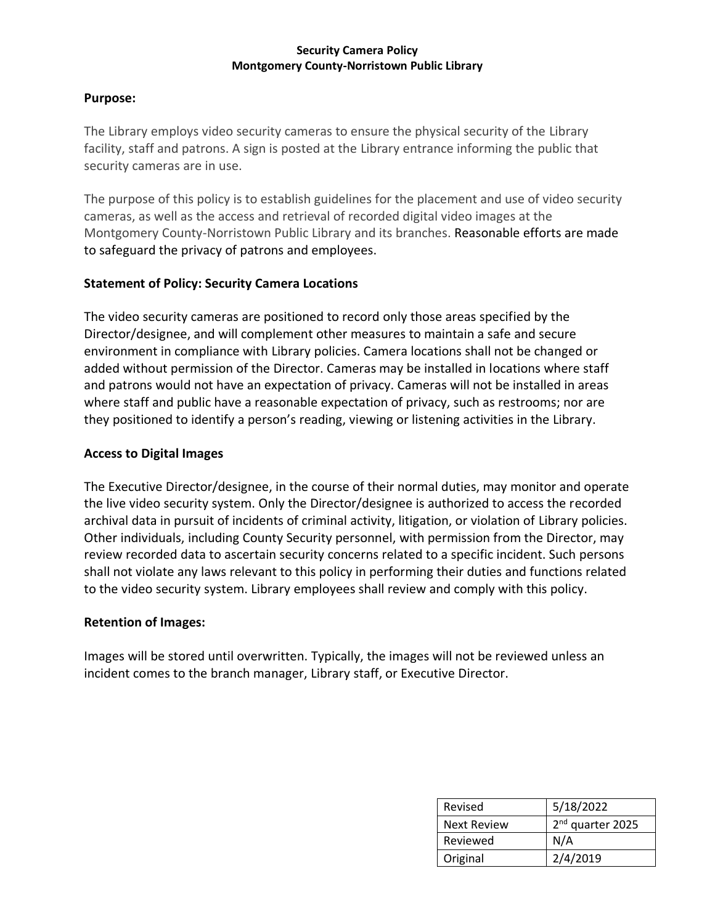#### **Security Camera Policy Montgomery County-Norristown Public Library**

#### **Purpose:**

The Library employs video security cameras to ensure the physical security of the Library facility, staff and patrons. A sign is posted at the Library entrance informing the public that security cameras are in use.

The purpose of this policy is to establish guidelines for the placement and use of video security cameras, as well as the access and retrieval of recorded digital video images at the Montgomery County-Norristown Public Library and its branches. Reasonable efforts are made to safeguard the privacy of patrons and employees.

# **Statement of Policy: Security Camera Locations**

The video security cameras are positioned to record only those areas specified by the Director/designee, and will complement other measures to maintain a safe and secure environment in compliance with Library policies. Camera locations shall not be changed or added without permission of the Director. Cameras may be installed in locations where staff and patrons would not have an expectation of privacy. Cameras will not be installed in areas where staff and public have a reasonable expectation of privacy, such as restrooms; nor are they positioned to identify a person's reading, viewing or listening activities in the Library.

### **Access to Digital Images**

The Executive Director/designee, in the course of their normal duties, may monitor and operate the live video security system. Only the Director/designee is authorized to access the recorded archival data in pursuit of incidents of criminal activity, litigation, or violation of Library policies. Other individuals, including County Security personnel, with permission from the Director, may review recorded data to ascertain security concerns related to a specific incident. Such persons shall not violate any laws relevant to this policy in performing their duties and functions related to the video security system. Library employees shall review and comply with this policy.

# **Retention of Images:**

Images will be stored until overwritten. Typically, the images will not be reviewed unless an incident comes to the branch manager, Library staff, or Executive Director.

| Revised            | 5/18/2022                    |
|--------------------|------------------------------|
| <b>Next Review</b> | 2 <sup>nd</sup> quarter 2025 |
| Reviewed           | N/A                          |
| Original           | 2/4/2019                     |